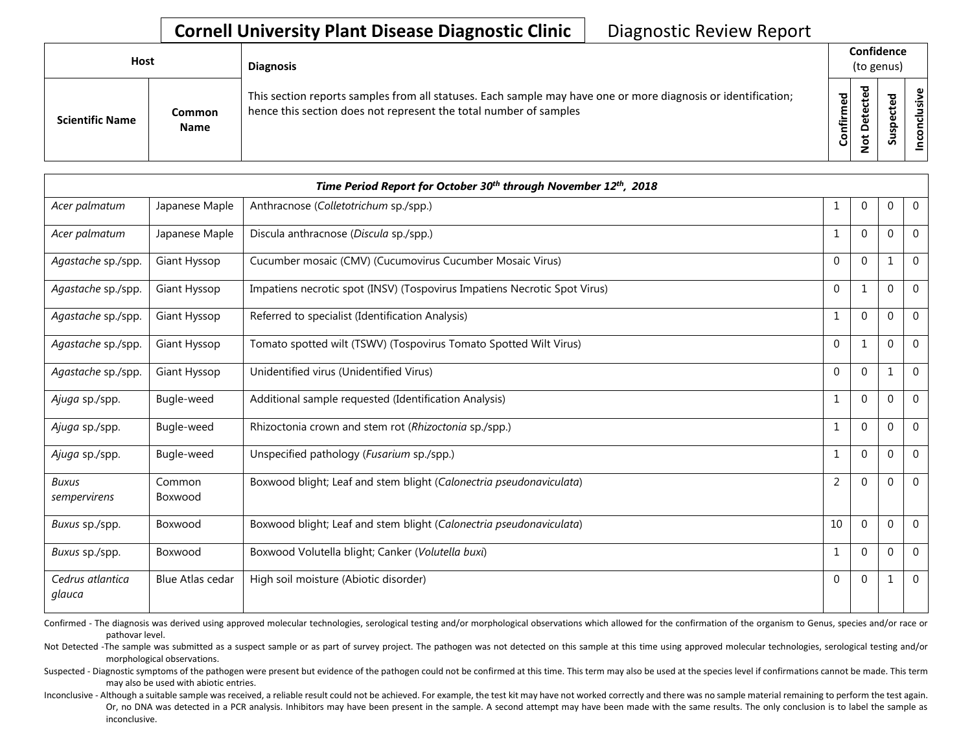| <b>Host</b>            |                       | <b>Diagnosis</b>                                                                                                                                                                   |           | Confidence<br>(to genus)<br>ᇃ |        |                      |
|------------------------|-----------------------|------------------------------------------------------------------------------------------------------------------------------------------------------------------------------------|-----------|-------------------------------|--------|----------------------|
| <b>Scientific Name</b> | Common<br><b>Name</b> | This section reports samples from all statuses. Each sample may have one or more diagnosis or identification;<br>hence this section does not represent the total number of samples | Confirmed | ≏<br>سە                       | š<br>n | usive<br>ಕ<br>⊂<br>g |

|                              |                         | Time Period Report for October 30 <sup>th</sup> through November 12 <sup>th</sup> , 2018 |          |              |          |                |
|------------------------------|-------------------------|------------------------------------------------------------------------------------------|----------|--------------|----------|----------------|
| Acer palmatum                | Japanese Maple          | Anthracnose (Colletotrichum sp./spp.)                                                    |          | 0            | 0        | $\mathbf 0$    |
| Acer palmatum                | Japanese Maple          | Discula anthracnose (Discula sp./spp.)                                                   |          | $\Omega$     | $\Omega$ | $\overline{0}$ |
| Agastache sp./spp.           | Giant Hyssop            | Cucumber mosaic (CMV) (Cucumovirus Cucumber Mosaic Virus)                                | $\Omega$ | $\Omega$     | 1        | $\Omega$       |
| Agastache sp./spp.           | Giant Hyssop            | Impatiens necrotic spot (INSV) (Tospovirus Impatiens Necrotic Spot Virus)                | $\Omega$ | 1            | $\Omega$ | $\overline{0}$ |
| Agastache sp./spp.           | Giant Hyssop            | Referred to specialist (Identification Analysis)                                         |          | $\Omega$     | $\Omega$ | $\mathbf 0$    |
| Agastache sp./spp.           | Giant Hyssop            | Tomato spotted wilt (TSWV) (Tospovirus Tomato Spotted Wilt Virus)                        | $\Omega$ | $\mathbf{1}$ | $\Omega$ | $\Omega$       |
| Agastache sp./spp.           | Giant Hyssop            | Unidentified virus (Unidentified Virus)                                                  | $\Omega$ | $\Omega$     | 1        | $\overline{0}$ |
| Ajuga sp./spp.               | Bugle-weed              | Additional sample requested (Identification Analysis)                                    | 1        | $\mathbf 0$  | $\Omega$ | $\mathbf 0$    |
| Ajuga sp./spp.               | Bugle-weed              | Rhizoctonia crown and stem rot (Rhizoctonia sp./spp.)                                    |          | $\Omega$     | $\Omega$ | $\mathbf 0$    |
| Ajuga sp./spp.               | Bugle-weed              | Unspecified pathology (Fusarium sp./spp.)                                                |          | $\Omega$     | $\Omega$ | $\overline{0}$ |
| <b>Buxus</b><br>sempervirens | Common<br>Boxwood       | Boxwood blight; Leaf and stem blight (Calonectria pseudonaviculata)                      | 2        | $\Omega$     | $\Omega$ | $\mathbf{0}$   |
| Buxus sp./spp.               | Boxwood                 | Boxwood blight; Leaf and stem blight (Calonectria pseudonaviculata)                      | 10       | $\Omega$     | $\Omega$ | $\overline{0}$ |
| Buxus sp./spp.               | Boxwood                 | Boxwood Volutella blight; Canker (Volutella buxi)                                        |          | $\Omega$     | $\Omega$ | $\Omega$       |
| Cedrus atlantica<br>glauca   | <b>Blue Atlas cedar</b> | High soil moisture (Abiotic disorder)                                                    | $\Omega$ | $\mathbf{0}$ | 1        | $\mathbf{0}$   |

Confirmed - The diagnosis was derived using approved molecular technologies, serological testing and/or morphological observations which allowed for the confirmation of the organism to Genus, species and/or race or pathovar level.

Not Detected -The sample was submitted as a suspect sample or as part of survey project. The pathogen was not detected on this sample at this time using approved molecular technologies, serological testing and/or morphological observations.

Suspected - Diagnostic symptoms of the pathogen were present but evidence of the pathogen could not be confirmed at this time. This term may also be used at the species level if confirmations cannot be made. This term may also be used with abiotic entries.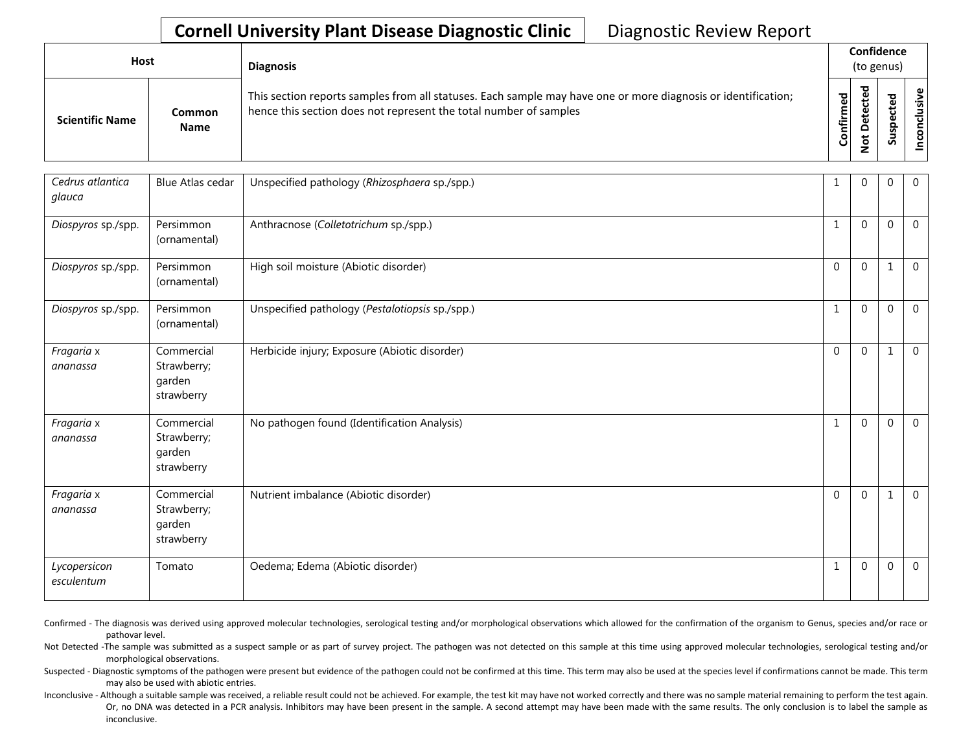| Host                   |                       | <b>Diagnosis</b>                                                                                                                                                                   | Confidence<br>(to genus) |        |                                           |
|------------------------|-----------------------|------------------------------------------------------------------------------------------------------------------------------------------------------------------------------------|--------------------------|--------|-------------------------------------------|
| <b>Scientific Name</b> | Common<br><b>Name</b> | This section reports samples from all statuses. Each sample may have one or more diagnosis or identification;<br>hence this section does not represent the total number of samples | Confirmed                | ᅲ<br>≏ | $\tilde{\mathbf{z}}$<br>š<br>᠊ᠣ<br>c<br>g |

| Cedrus atlantica<br>glauca | <b>Blue Atlas cedar</b>                           | Unspecified pathology (Rhizosphaera sp./spp.)   |              | $\Omega$ | 0           | $\overline{0}$ |
|----------------------------|---------------------------------------------------|-------------------------------------------------|--------------|----------|-------------|----------------|
| Diospyros sp./spp.         | Persimmon<br>(ornamental)                         | Anthracnose (Colletotrichum sp./spp.)           | $\mathbf{1}$ | $\Omega$ | $\Omega$    | $\overline{0}$ |
| Diospyros sp./spp.         | Persimmon<br>(ornamental)                         | High soil moisture (Abiotic disorder)           | $\Omega$     | $\Omega$ | 1           | $\mathbf 0$    |
| Diospyros sp./spp.         | Persimmon<br>(ornamental)                         | Unspecified pathology (Pestalotiopsis sp./spp.) | $\mathbf{1}$ | $\Omega$ | $\Omega$    | $\Omega$       |
| Fragaria x<br>ananassa     | Commercial<br>Strawberry;<br>garden<br>strawberry | Herbicide injury; Exposure (Abiotic disorder)   | $\mathbf{0}$ | $\Omega$ | $\mathbf 1$ | $\mathbf 0$    |
| Fragaria x<br>ananassa     | Commercial<br>Strawberry;<br>garden<br>strawberry | No pathogen found (Identification Analysis)     | $\mathbf{1}$ | $\Omega$ | $\Omega$    | $\overline{0}$ |
| Fragaria x<br>ananassa     | Commercial<br>Strawberry;<br>garden<br>strawberry | Nutrient imbalance (Abiotic disorder)           | $\Omega$     | $\Omega$ | 1           | $\mathbf 0$    |
| Lycopersicon<br>esculentum | Tomato                                            | Oedema; Edema (Abiotic disorder)                | 1            | $\Omega$ | $\Omega$    | $\mathbf 0$    |

Confirmed - The diagnosis was derived using approved molecular technologies, serological testing and/or morphological observations which allowed for the confirmation of the organism to Genus, species and/or race or pathovar level.

Not Detected -The sample was submitted as a suspect sample or as part of survey project. The pathogen was not detected on this sample at this time using approved molecular technologies, serological testing and/or morphological observations.

Suspected - Diagnostic symptoms of the pathogen were present but evidence of the pathogen could not be confirmed at this time. This term may also be used at the species level if confirmations cannot be made. This term may also be used with abiotic entries.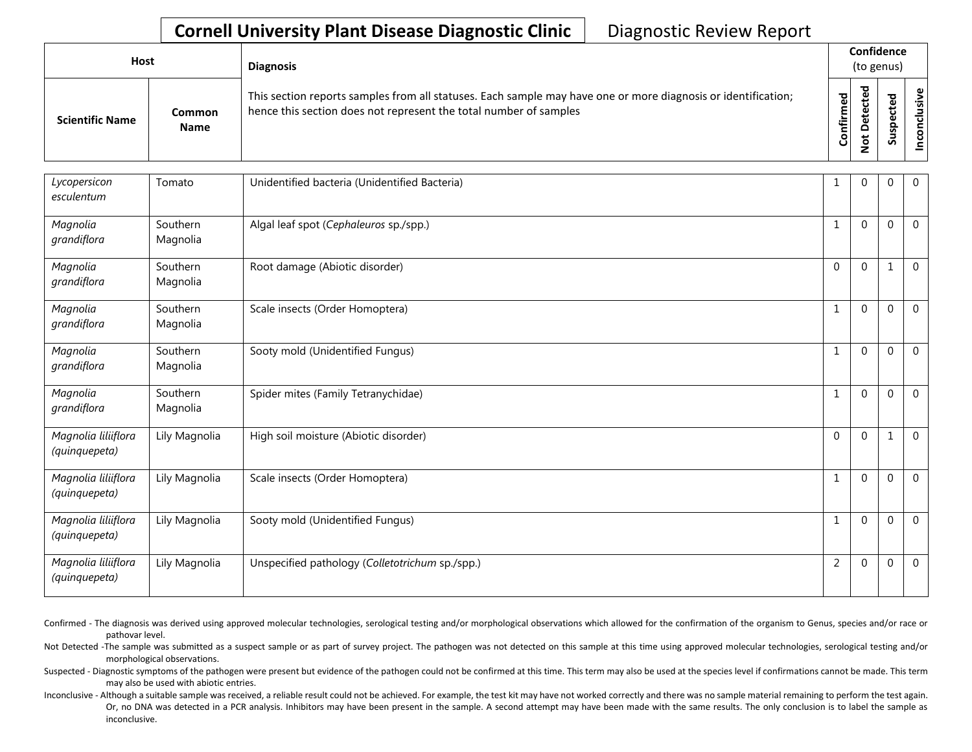| <b>Host</b>            |                                                                                                                                                                                                                                                                                           | <b>Diagnosis</b> |  |  |  |  |  |  |
|------------------------|-------------------------------------------------------------------------------------------------------------------------------------------------------------------------------------------------------------------------------------------------------------------------------------------|------------------|--|--|--|--|--|--|
| <b>Scientific Name</b> | Confidence<br>(to genus)<br>ᇃ<br>This section reports samples from all statuses. Each sample may have one or more diagnosis or identification;<br>Confirmed<br>hence this section does not represent the total number of samples<br>Φ<br>Common<br>سد<br><b>Name</b><br>≏<br>سه<br>ທ<br>- | Φ<br>usiv<br>᠊ᠣ  |  |  |  |  |  |  |

| Lycopersicon<br>esculentum           | Tomato               | Unidentified bacteria (Unidentified Bacteria)   |                | $\Omega$     | 0            | $\mathbf 0$    |
|--------------------------------------|----------------------|-------------------------------------------------|----------------|--------------|--------------|----------------|
| Magnolia<br>grandiflora              | Southern<br>Magnolia | Algal leaf spot (Cephaleuros sp./spp.)          | 1              | $\Omega$     | 0            | $\overline{0}$ |
| Magnolia<br>grandiflora              | Southern<br>Magnolia | Root damage (Abiotic disorder)                  | $\Omega$       | $\Omega$     | 1            | $\overline{0}$ |
| Magnolia<br>grandiflora              | Southern<br>Magnolia | Scale insects (Order Homoptera)                 | 1              | $\Omega$     | $\mathbf{0}$ | $\mathbf{0}$   |
| Magnolia<br>grandiflora              | Southern<br>Magnolia | Sooty mold (Unidentified Fungus)                | $\mathbf{1}$   | $\Omega$     | $\mathbf 0$  | $\overline{0}$ |
| Magnolia<br>grandiflora              | Southern<br>Magnolia | Spider mites (Family Tetranychidae)             |                | $\Omega$     | $\Omega$     | $\Omega$       |
| Magnolia liliiflora<br>(quinquepeta) | Lily Magnolia        | High soil moisture (Abiotic disorder)           | $\Omega$       | $\Omega$     | $\mathbf{1}$ | $\overline{0}$ |
| Magnolia liliiflora<br>(quinquepeta) | Lily Magnolia        | Scale insects (Order Homoptera)                 | $\mathbf{1}$   | $\Omega$     | $\Omega$     | $\mathbf{0}$   |
| Magnolia liliiflora<br>(quinquepeta) | Lily Magnolia        | Sooty mold (Unidentified Fungus)                | 1              | $\mathbf{0}$ | 0            | $\overline{0}$ |
| Magnolia liliiflora<br>(quinquepeta) | Lily Magnolia        | Unspecified pathology (Colletotrichum sp./spp.) | $\overline{2}$ | $\mathbf 0$  | $\mathbf 0$  | $\mathbf 0$    |

Confirmed - The diagnosis was derived using approved molecular technologies, serological testing and/or morphological observations which allowed for the confirmation of the organism to Genus, species and/or race or pathovar level.

Not Detected -The sample was submitted as a suspect sample or as part of survey project. The pathogen was not detected on this sample at this time using approved molecular technologies, serological testing and/or morphological observations.

Suspected - Diagnostic symptoms of the pathogen were present but evidence of the pathogen could not be confirmed at this time. This term may also be used at the species level if confirmations cannot be made. This term may also be used with abiotic entries.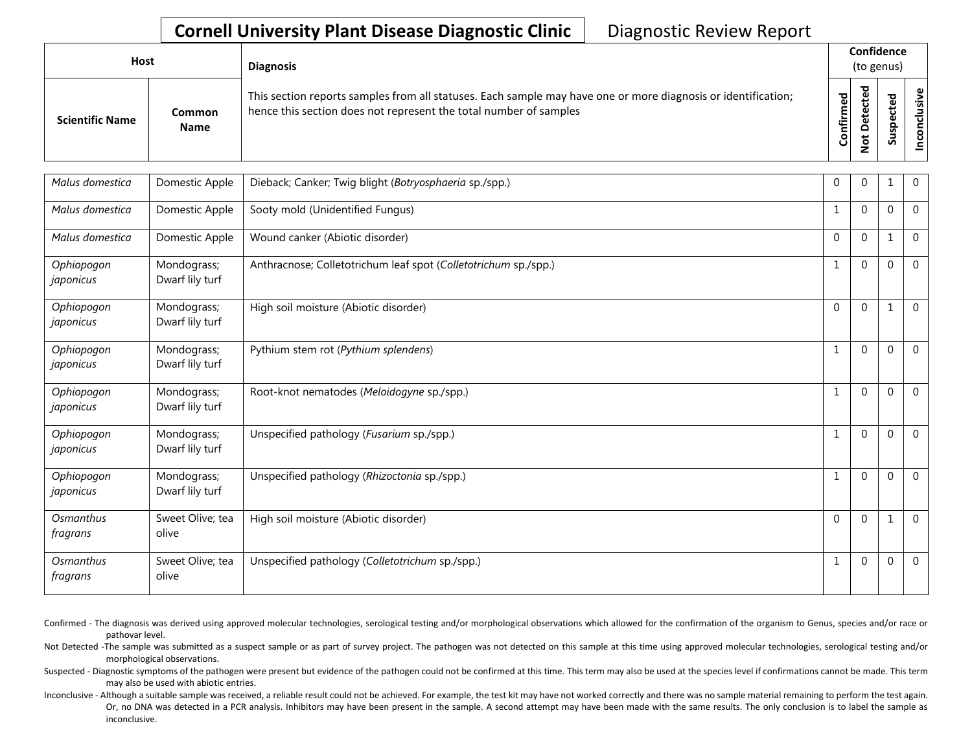| Host                   |                       | <b>Diagnosis</b>                                                                                                                                                                   |           |        | Confidence<br>(to genus) |                                      |
|------------------------|-----------------------|------------------------------------------------------------------------------------------------------------------------------------------------------------------------------------|-----------|--------|--------------------------|--------------------------------------|
| <b>Scientific Name</b> | Common<br><b>Name</b> | This section reports samples from all statuses. Each sample may have one or more diagnosis or identification;<br>hence this section does not represent the total number of samples | Confirmed | ᇃ<br>≏ |                          | $\tilde{\mathbf{z}}$<br>š<br>᠊ᠣ<br>g |

| Malus domestica         | Domestic Apple                 | Dieback; Canker; Twig blight (Botryosphaeria sp./spp.)          | 0            | 0            | 1            | $\mathbf 0$    |
|-------------------------|--------------------------------|-----------------------------------------------------------------|--------------|--------------|--------------|----------------|
| Malus domestica         | Domestic Apple                 | Sooty mold (Unidentified Fungus)                                |              | $\Omega$     | $\Omega$     | $\mathbf{0}$   |
| Malus domestica         | Domestic Apple                 | Wound canker (Abiotic disorder)                                 | $\Omega$     | $\Omega$     | $\mathbf 1$  | $\Omega$       |
| Ophiopogon<br>japonicus | Mondograss;<br>Dwarf lily turf | Anthracnose; Colletotrichum leaf spot (Colletotrichum sp./spp.) | 1            | $\Omega$     | $\Omega$     | $\mathbf 0$    |
| Ophiopogon<br>japonicus | Mondograss;<br>Dwarf lily turf | High soil moisture (Abiotic disorder)                           | $\mathbf{0}$ | $\Omega$     | 1            | $\overline{0}$ |
| Ophiopogon<br>japonicus | Mondograss;<br>Dwarf lily turf | Pythium stem rot (Pythium splendens)                            | 1            | $\Omega$     | $\mathbf{0}$ | $\overline{0}$ |
| Ophiopogon<br>japonicus | Mondograss;<br>Dwarf lily turf | Root-knot nematodes (Meloidogyne sp./spp.)                      |              | $\Omega$     | $\Omega$     | $\mathbf{0}$   |
| Ophiopogon<br>japonicus | Mondograss;<br>Dwarf lily turf | Unspecified pathology (Fusarium sp./spp.)                       |              | $\Omega$     | $\Omega$     | $\mathbf{0}$   |
| Ophiopogon<br>japonicus | Mondograss;<br>Dwarf lily turf | Unspecified pathology (Rhizoctonia sp./spp.)                    | 1            | $\Omega$     | $\mathbf 0$  | $\overline{0}$ |
| Osmanthus<br>fragrans   | Sweet Olive; tea<br>olive      | High soil moisture (Abiotic disorder)                           | $\mathbf{0}$ | $\mathbf{0}$ | $\mathbf{1}$ | $\mathbf{0}$   |
| Osmanthus<br>fragrans   | Sweet Olive; tea<br>olive      | Unspecified pathology (Colletotrichum sp./spp.)                 | 1            | $\Omega$     | 0            | $\Omega$       |

Confirmed - The diagnosis was derived using approved molecular technologies, serological testing and/or morphological observations which allowed for the confirmation of the organism to Genus, species and/or race or pathovar level.

Not Detected -The sample was submitted as a suspect sample or as part of survey project. The pathogen was not detected on this sample at this time using approved molecular technologies, serological testing and/or morphological observations.

Suspected - Diagnostic symptoms of the pathogen were present but evidence of the pathogen could not be confirmed at this time. This term may also be used at the species level if confirmations cannot be made. This term may also be used with abiotic entries.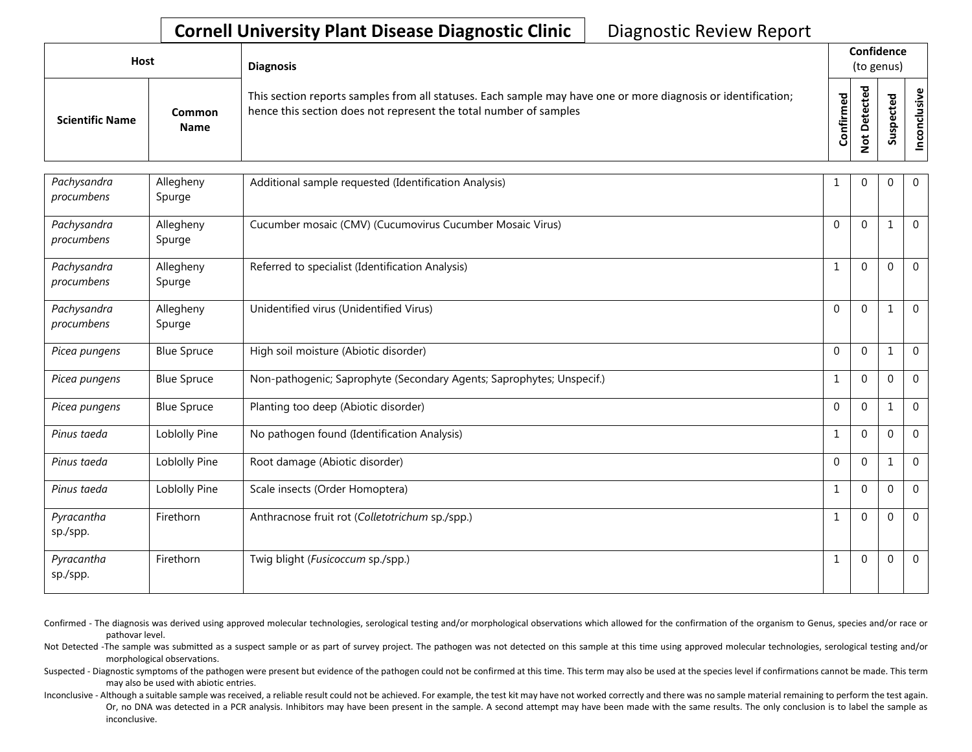| Host                   |                       | <b>Diagnosis</b>                                                                                                                                                                   |                    | Confidence<br>(to genus) |                                  |  |  |  |
|------------------------|-----------------------|------------------------------------------------------------------------------------------------------------------------------------------------------------------------------------|--------------------|--------------------------|----------------------------------|--|--|--|
| <b>Scientific Name</b> | Common<br><b>Name</b> | This section reports samples from all statuses. Each sample may have one or more diagnosis or identification;<br>hence this section does not represent the total number of samples | ිත<br>ම<br>Confirm | ᇃ<br>$\Omega$            | υ١<br>ω<br>⊻<br>௨<br>S<br>۰<br>n |  |  |  |

| Pachysandra<br>procumbens | Allegheny<br>Spurge | Additional sample requested (Identification Analysis)                 |              | $\Omega$       | $\mathbf 0$ | $\mathbf{0}$   |
|---------------------------|---------------------|-----------------------------------------------------------------------|--------------|----------------|-------------|----------------|
| Pachysandra<br>procumbens | Allegheny<br>Spurge | Cucumber mosaic (CMV) (Cucumovirus Cucumber Mosaic Virus)             | $\Omega$     | $\Omega$       | 1           | $\mathbf 0$    |
| Pachysandra<br>procumbens | Allegheny<br>Spurge | Referred to specialist (Identification Analysis)                      |              | $\Omega$       | $\Omega$    | $\Omega$       |
| Pachysandra<br>procumbens | Allegheny<br>Spurge | Unidentified virus (Unidentified Virus)                               | $\mathbf{0}$ | $\mathbf{0}$   |             | $\mathbf 0$    |
| Picea pungens             | <b>Blue Spruce</b>  | High soil moisture (Abiotic disorder)                                 | $\Omega$     | $\mathbf{0}$   | 1           | $\Omega$       |
| Picea pungens             | <b>Blue Spruce</b>  | Non-pathogenic; Saprophyte (Secondary Agents; Saprophytes; Unspecif.) | $\mathbf{1}$ | $\mathbf{0}$   | $\Omega$    | $\Omega$       |
| Picea pungens             | <b>Blue Spruce</b>  | Planting too deep (Abiotic disorder)                                  | $\Omega$     | $\overline{0}$ | 1           | $\Omega$       |
| Pinus taeda               | Loblolly Pine       | No pathogen found (Identification Analysis)                           | 1            | $\Omega$       | $\Omega$    | $\Omega$       |
| Pinus taeda               | Loblolly Pine       | Root damage (Abiotic disorder)                                        | $\Omega$     | $\overline{0}$ | -1          | $\Omega$       |
| Pinus taeda               | Loblolly Pine       | Scale insects (Order Homoptera)                                       | $\mathbf{1}$ | $\Omega$       | $\Omega$    | $\Omega$       |
| Pyracantha<br>sp./spp.    | Firethorn           | Anthracnose fruit rot (Colletotrichum sp./spp.)                       | 1            | $\mathbf 0$    | $\Omega$    | $\Omega$       |
| Pyracantha<br>sp./spp.    | Firethorn           | Twig blight (Fusicoccum sp./spp.)                                     | 1            | $\mathbf{0}$   | $\mathbf 0$ | $\overline{0}$ |

Confirmed - The diagnosis was derived using approved molecular technologies, serological testing and/or morphological observations which allowed for the confirmation of the organism to Genus, species and/or race or pathovar level.

Not Detected -The sample was submitted as a suspect sample or as part of survey project. The pathogen was not detected on this sample at this time using approved molecular technologies, serological testing and/or morphological observations.

Suspected - Diagnostic symptoms of the pathogen were present but evidence of the pathogen could not be confirmed at this time. This term may also be used at the species level if confirmations cannot be made. This term may also be used with abiotic entries.